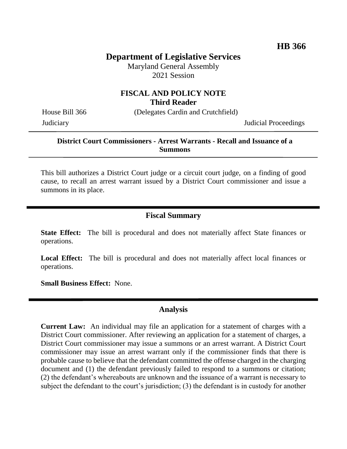# **Department of Legislative Services**

Maryland General Assembly 2021 Session

#### **FISCAL AND POLICY NOTE Third Reader**

House Bill 366 (Delegates Cardin and Crutchfield)

Judiciary Judicial Proceedings

### **District Court Commissioners - Arrest Warrants - Recall and Issuance of a Summons**

This bill authorizes a District Court judge or a circuit court judge, on a finding of good cause, to recall an arrest warrant issued by a District Court commissioner and issue a summons in its place.

### **Fiscal Summary**

**State Effect:** The bill is procedural and does not materially affect State finances or operations.

Local Effect: The bill is procedural and does not materially affect local finances or operations.

**Small Business Effect:** None.

# **Analysis**

**Current Law:** An individual may file an application for a statement of charges with a District Court commissioner. After reviewing an application for a statement of charges, a District Court commissioner may issue a summons or an arrest warrant. A District Court commissioner may issue an arrest warrant only if the commissioner finds that there is probable cause to believe that the defendant committed the offense charged in the charging document and (1) the defendant previously failed to respond to a summons or citation; (2) the defendant's whereabouts are unknown and the issuance of a warrant is necessary to subject the defendant to the court's jurisdiction; (3) the defendant is in custody for another